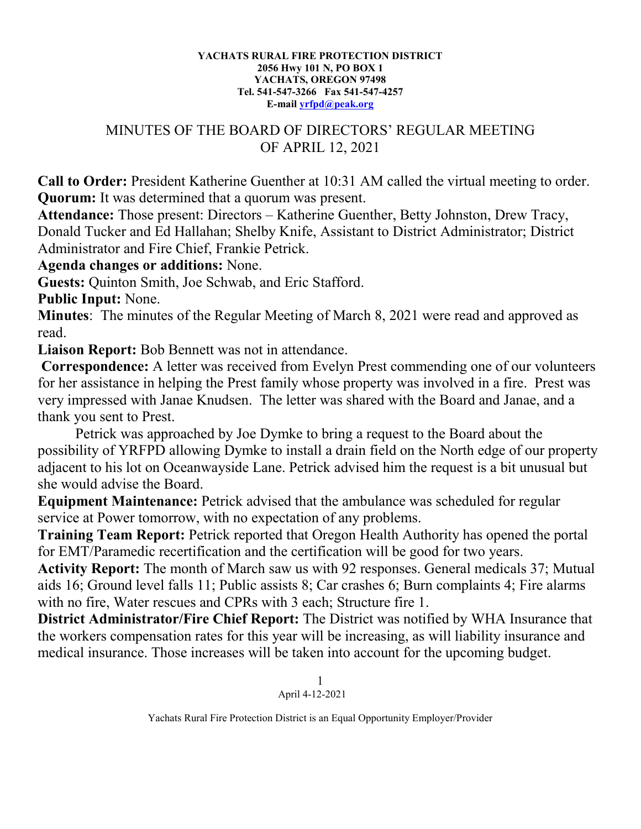## **YACHATS RURAL FIRE PROTECTION DISTRICT 2056 Hwy 101 N, PO BOX 1 YACHATS, OREGON 97498 Tel. 541-547-3266 Fax 541-547-4257 E-mail [yrfpd@peak.org](mailto:yrfpd@peak.org)**

## MINUTES OF THE BOARD OF DIRECTORS' REGULAR MEETING OF APRIL 12, 2021

**Call to Order:** President Katherine Guenther at 10:31 AM called the virtual meeting to order. **Quorum:** It was determined that a quorum was present.

**Attendance:** Those present: Directors – Katherine Guenther, Betty Johnston, Drew Tracy, Donald Tucker and Ed Hallahan; Shelby Knife, Assistant to District Administrator; District Administrator and Fire Chief, Frankie Petrick.

**Agenda changes or additions:** None.

**Guests:** Quinton Smith, Joe Schwab, and Eric Stafford.

**Public Input:** None.

**Minutes**: The minutes of the Regular Meeting of March 8, 2021 were read and approved as read.

**Liaison Report:** Bob Bennett was not in attendance.

**Correspondence:** A letter was received from Evelyn Prest commending one of our volunteers for her assistance in helping the Prest family whose property was involved in a fire. Prest was very impressed with Janae Knudsen. The letter was shared with the Board and Janae, and a thank you sent to Prest.

Petrick was approached by Joe Dymke to bring a request to the Board about the possibility of YRFPD allowing Dymke to install a drain field on the North edge of our property adjacent to his lot on Oceanwayside Lane. Petrick advised him the request is a bit unusual but she would advise the Board.

**Equipment Maintenance:** Petrick advised that the ambulance was scheduled for regular service at Power tomorrow, with no expectation of any problems.

**Training Team Report:** Petrick reported that Oregon Health Authority has opened the portal for EMT/Paramedic recertification and the certification will be good for two years.

**Activity Report:** The month of March saw us with 92 responses. General medicals 37; Mutual aids 16; Ground level falls 11; Public assists 8; Car crashes 6; Burn complaints 4; Fire alarms with no fire, Water rescues and CPRs with 3 each; Structure fire 1.

**District Administrator/Fire Chief Report:** The District was notified by WHA Insurance that the workers compensation rates for this year will be increasing, as will liability insurance and medical insurance. Those increases will be taken into account for the upcoming budget.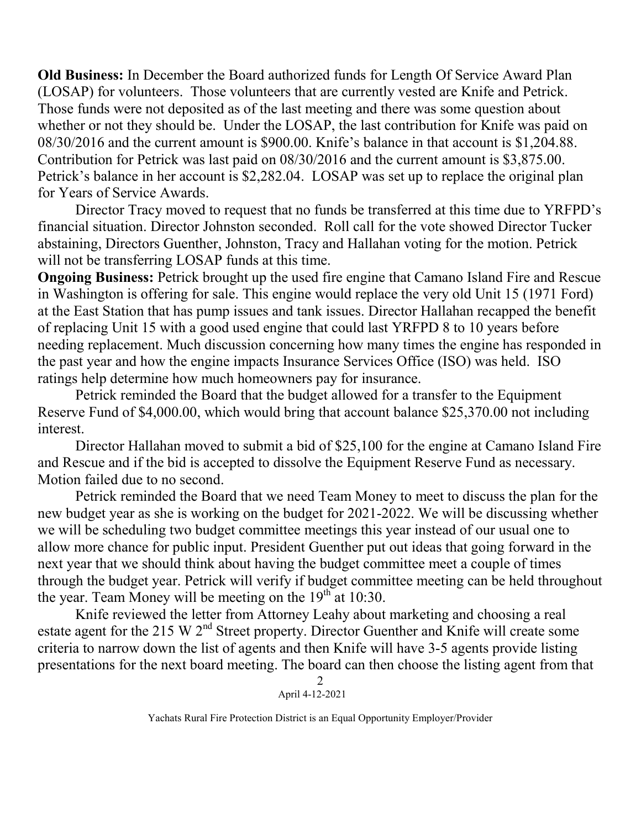**Old Business:** In December the Board authorized funds for Length Of Service Award Plan (LOSAP) for volunteers. Those volunteers that are currently vested are Knife and Petrick. Those funds were not deposited as of the last meeting and there was some question about whether or not they should be. Under the LOSAP, the last contribution for Knife was paid on 08/30/2016 and the current amount is \$900.00. Knife's balance in that account is \$1,204.88. Contribution for Petrick was last paid on 08/30/2016 and the current amount is \$3,875.00. Petrick's balance in her account is \$2,282.04. LOSAP was set up to replace the original plan for Years of Service Awards.

Director Tracy moved to request that no funds be transferred at this time due to YRFPD's financial situation. Director Johnston seconded. Roll call for the vote showed Director Tucker abstaining, Directors Guenther, Johnston, Tracy and Hallahan voting for the motion. Petrick will not be transferring LOSAP funds at this time.

**Ongoing Business:** Petrick brought up the used fire engine that Camano Island Fire and Rescue in Washington is offering for sale. This engine would replace the very old Unit 15 (1971 Ford) at the East Station that has pump issues and tank issues. Director Hallahan recapped the benefit of replacing Unit 15 with a good used engine that could last YRFPD 8 to 10 years before needing replacement. Much discussion concerning how many times the engine has responded in the past year and how the engine impacts Insurance Services Office (ISO) was held. ISO ratings help determine how much homeowners pay for insurance.

Petrick reminded the Board that the budget allowed for a transfer to the Equipment Reserve Fund of \$4,000.00, which would bring that account balance \$25,370.00 not including interest.

Director Hallahan moved to submit a bid of \$25,100 for the engine at Camano Island Fire and Rescue and if the bid is accepted to dissolve the Equipment Reserve Fund as necessary. Motion failed due to no second.

Petrick reminded the Board that we need Team Money to meet to discuss the plan for the new budget year as she is working on the budget for 2021-2022. We will be discussing whether we will be scheduling two budget committee meetings this year instead of our usual one to allow more chance for public input. President Guenther put out ideas that going forward in the next year that we should think about having the budget committee meet a couple of times through the budget year. Petrick will verify if budget committee meeting can be held throughout the year. Team Money will be meeting on the  $19<sup>th</sup>$  at 10:30.

Knife reviewed the letter from Attorney Leahy about marketing and choosing a real estate agent for the 215 W 2<sup>nd</sup> Street property. Director Guenther and Knife will create some criteria to narrow down the list of agents and then Knife will have 3-5 agents provide listing presentations for the next board meeting. The board can then choose the listing agent from that

> 2 April 4-12-2021

Yachats Rural Fire Protection District is an Equal Opportunity Employer/Provider